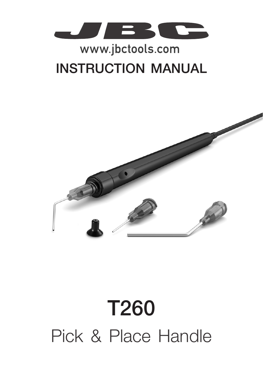

## www.jbctools.com INSTRUCTION MANUAL



## T260 Pick & Place Handle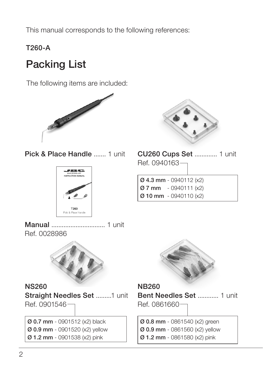This manual corresponds to the following references:

T260-A

### Packing List

The following items are included:



Pick & Place Handle ....... 1 unit



Manual ............................... 1 unit Ref. 0028986



#### NS260

Straight Needles Set .........1 unit Ref. 0901546

Ø 0.7 mm - 0901512 (x2) black Ø 0.9 mm - 0901520 (x2) yellow Ø 1.2 mm - 0901538 (x2) pink



CU260 Cups Set ............. 1 unit Ref. 0940163 Ø 4.3 mm - 0940112 (x2)

- Ø 7 mm 0940111 (x2) Ø 10 mm - 0940110 (x2)
- 



NB260

Bent Needles Set ............ 1 unit Ref. 0861660 Ø 0.8 mm - 0861540 (x2) green Ø 0.9 mm - 0861560 (x2) yellow

Ø 1.2 mm - 0861580 (x2) pink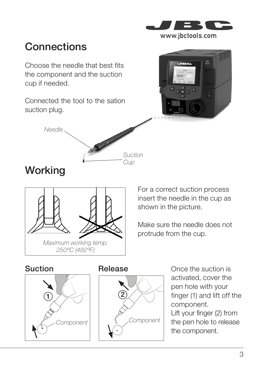

#### Connections **130 mm 130 mm**

Choose the needle that best fits the component and the suction cup if needed.

Connected the tool to the sation suction plug.





**Working** 



For a correct suction process insert the needle in the cup as shown in the picture.

Make sure the needle does not protrude from the cup.

# *Component* 1  $(2)$





**Suction Release Once the suction is** activated, cover the pen hole with your finger (1) and lift off the component. Lift your finger (2) from the pen hole to release the component.